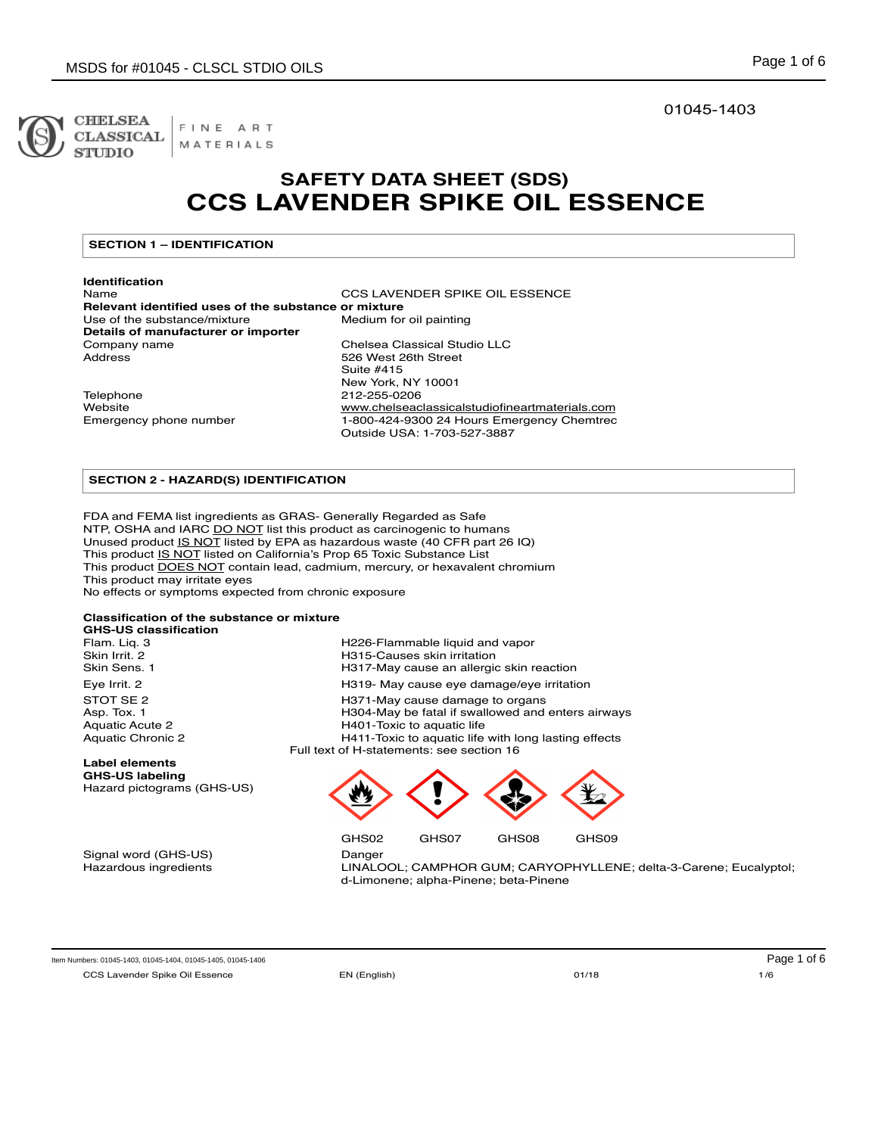

FINE ART CLASSICAL MATERIALS 01045-1403

## **SAFETY DATA SHEET (SDS) CCS LAVENDER SPIKE OIL ESSENCE**

#### **SECTION 1 – IDENTIFICATION**

**Details of manufacturer or importer** 

**Identification** 

Name CCS LAVENDER SPIKE OIL ESSENCE **Relevant identified uses of the substance or mixture** Use of the substance/mixture **Medium** for oil painting Chelsea Classical Studio LLC Address 526 West 26th Street Suite #415 New York, NY 10001 Telephone 212-255-0206<br>
Website 2012 www.chelseac www.chelseaclassicalstudiofineartmaterials.com Emergency phone number 1-800-424-9300 24 Hours Emergency Chemtrec Outside USA: 1-703-527-3887

#### **SECTION 2 - HAZARD(S) IDENTIFICATION**

FDA and FEMA list ingredients as GRAS- Generally Regarded as Safe NTP, OSHA and IARC DO NOT list this product as carcinogenic to humans Unused product IS NOT listed by EPA as hazardous waste (40 CFR part 26 IQ) This product IS NOT listed on California's Prop 65 Toxic Substance List This product **DOES NOT** contain lead, cadmium, mercury, or hexavalent chromium This product may irritate eyes No effects or symptoms expected from chronic exposure

#### **Classification of the substance or mixture**

**GHS-US classification** 

#### **Label elements GHS-US labeling**

Hazard pictograms (GHS-US)

Signal word (GHS-US) Danger

Flam. Liq. 3 **Flammable liquid and vapor**<br>Skin Irrit. 2 **H226-Flammable liquid and vapor**<br>H315-Causes skin irritation Skin Irrit. 2 **H315-Causes skin irritation**<br>Skin Sens. 1 **H317-May cause an allergion** H317-May cause an allergic skin reaction Eye Irrit. 2 H319- May cause eye damage/eye irritation STOT SE 2 **H371-May cause damage to organs** Asp. Tox. 1 **Asp. Tox. 1** H304-May be fatal if swallowed and enters airways<br>Aquatic Acute 2 **Assumed B401-Toxic to aquatic life** Aquatic Acute 2 **All Acute 2** H401-Toxic to aquatic life<br>Aquatic Chronic 2 **H411-Toxic to aquatic life** H411-Toxic to aquatic life with long lasting effects Full text of H-statements: see section 16



GHS02 GHS07 GHS08 GHS09

Hazardous ingredients LINALOOL; CAMPHOR GUM; CARYOPHYLLENE; delta-3-Carene; Eucalyptol; d-Limonene; alpha-Pinene; beta-Pinene

CCS Lavender Spike Oil Essence **EN** (English) 61/18 1/6 1/18 1/6 Item Numbers: 01045-1403, 01045-1404, 01045-1405, 01045-1406 **Page 1 of 6**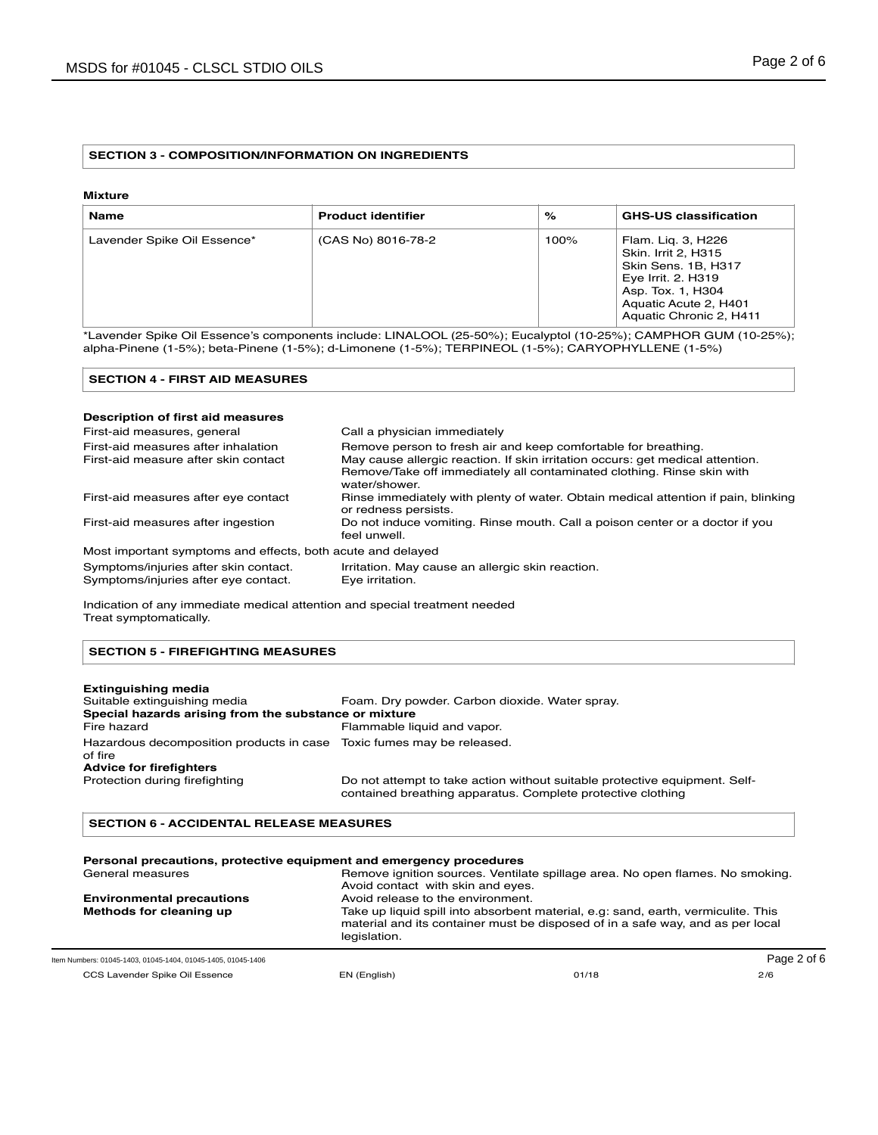**Mixture**

| <b>Name</b>                 | <b>Product identifier</b> | %    | <b>GHS-US classification</b>                                                                                                                                    |
|-----------------------------|---------------------------|------|-----------------------------------------------------------------------------------------------------------------------------------------------------------------|
| Lavender Spike Oil Essence* | (CAS No) 8016-78-2        | 100% | Flam. Lig. 3, H226<br>Skin. Irrit 2, H315<br>Skin Sens. 1B, H317<br>Eye Irrit. 2. H319<br>Asp. Tox. 1, H304<br>Aquatic Acute 2, H401<br>Aquatic Chronic 2, H411 |

\*Lavender Spike Oil Essence's components include: LINALOOL (25-50%); Eucalyptol (10-25%); CAMPHOR GUM (10-25%); alpha-Pinene (1-5%); beta-Pinene (1-5%); d-Limonene (1-5%); TERPINEOL (1-5%); CARYOPHYLLENE (1-5%)

## **SECTION 4 - FIRST AID MEASURES**

| Description of first aid measures                                             |                                                                                                                                                                           |
|-------------------------------------------------------------------------------|---------------------------------------------------------------------------------------------------------------------------------------------------------------------------|
| First-aid measures, general                                                   | Call a physician immediately                                                                                                                                              |
| First-aid measures after inhalation                                           | Remove person to fresh air and keep comfortable for breathing.                                                                                                            |
| First-aid measure after skin contact                                          | May cause allergic reaction. If skin irritation occurs: get medical attention.<br>Remove/Take off immediately all contaminated clothing. Rinse skin with<br>water/shower. |
| First-aid measures after eye contact                                          | Rinse immediately with plenty of water. Obtain medical attention if pain, blinking<br>or redness persists.                                                                |
| First-aid measures after ingestion                                            | Do not induce vomiting. Rinse mouth. Call a poison center or a doctor if you<br>feel unwell.                                                                              |
| Most important symptoms and effects, both acute and delayed                   |                                                                                                                                                                           |
| Symptoms/injuries after skin contact.<br>Symptoms/injuries after eye contact. | Irritation. May cause an allergic skin reaction.<br>Eye irritation.                                                                                                       |

Indication of any immediate medical attention and special treatment needed Treat symptomatically.

#### **SECTION 5 - FIREFIGHTING MEASURES**

| Extinguishing media                                                              |                                                                                                                                           |
|----------------------------------------------------------------------------------|-------------------------------------------------------------------------------------------------------------------------------------------|
| Suitable extinguishing media                                                     | Foam. Dry powder. Carbon dioxide. Water spray.                                                                                            |
| Special hazards arising from the substance or mixture                            |                                                                                                                                           |
| Fire hazard                                                                      | Flammable liquid and vapor.                                                                                                               |
| Hazardous decomposition products in case Toxic fumes may be released.<br>of fire |                                                                                                                                           |
| <b>Advice for firefighters</b>                                                   |                                                                                                                                           |
| Protection during firefighting                                                   | Do not attempt to take action without suitable protective equipment. Self-<br>contained breathing apparatus. Complete protective clothing |

#### **SECTION 6 - ACCIDENTAL RELEASE MEASURES**

#### **Personal precautions, protective equipment and emergency procedures**

| General measures<br><b>Environmental precautions</b><br>Methods for cleaning up | Remove ignition sources. Ventilate spillage area. No open flames. No smoking.<br>Avoid contact with skin and eyes.<br>Avoid release to the environment.<br>Take up liquid spill into absorbent material, e.g: sand, earth, vermiculite. This<br>material and its container must be disposed of in a safe way, and as per local<br>legislation. |
|---------------------------------------------------------------------------------|------------------------------------------------------------------------------------------------------------------------------------------------------------------------------------------------------------------------------------------------------------------------------------------------------------------------------------------------|
| Item Numbers: 01045-1403, 01045-1404, 01045-1405, 01045-1406                    | Page 2 of 6                                                                                                                                                                                                                                                                                                                                    |

CCS Lavender Spike Oil Essence EN (English) 01/18 2/6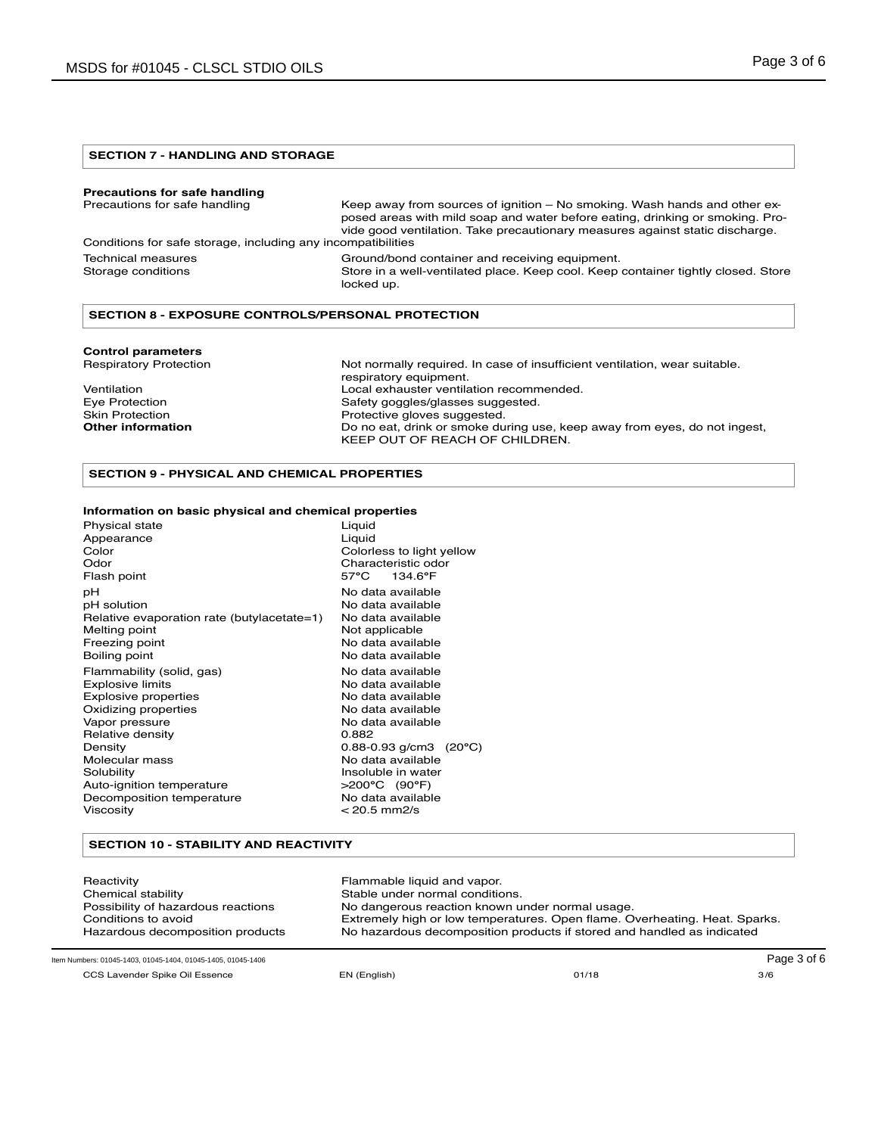#### **SECTION 7 - HANDLING AND STORAGE**

## **Precautions for safe handling**<br>Precautions for safe handling

Keep away from sources of ignition – No smoking. Wash hands and other exposed areas with mild soap and water before eating, drinking or smoking. Provide good ventilation. Take precautionary measures against static discharge. Conditions for safe storage, including any incompatibilities Technical measures Ground/bond container and receiving equipment.<br>Storage conditions Store in a well-ventilated place. Keep cool. Keep Store in a well-ventilated place. Keep cool. Keep container tightly closed. Store locked up.

#### **SECTION 8 - EXPOSURE CONTROLS/PERSONAL PROTECTION**

## **Control parameters**

Not normally required. In case of insufficient ventilation, wear suitable. respiratory equipment. Ventilation **Ventilation** Local exhauster ventilation recommended.<br>
Eye Protection **Research Safety goggles/glasses suggested**. Eye Protection **Safety goggles/glasses suggested.**<br>
Skin Protection Skin Protective gloves suggested. Skin Protection **Protection**<br> **Obtain Protection**<br> **O** Do no eat, drink or smoke due to the protection of the protection of the protection of Protection Protection Protection Protection Protection Protection Protection Pro Do no eat, drink or smoke during use, keep away from eyes, do not ingest, KEEP OUT OF REACH OF CHILDREN.

### **SECTION 9 - PHYSICAL AND CHEMICAL PROPERTIES**

#### **Information on basic physical and chemical properties**

| <b>Physical state</b><br>Appearance<br>Color<br>Odor<br>Flash point | Liquid<br>Liguid<br>Colorless to light yellow<br>Characteristic odor<br>$57^{\circ}$ C<br>134 6°F |
|---------------------------------------------------------------------|---------------------------------------------------------------------------------------------------|
| рH                                                                  | No data available                                                                                 |
| pH solution                                                         | No data available                                                                                 |
| Relative evaporation rate (butylacetate=1)                          | No data available                                                                                 |
| Melting point                                                       | Not applicable                                                                                    |
| Freezing point                                                      | No data available                                                                                 |
| Boiling point                                                       | No data available                                                                                 |
| Flammability (solid, gas)                                           | No data available                                                                                 |
| <b>Explosive limits</b>                                             | No data available                                                                                 |
| <b>Explosive properties</b>                                         | No data available                                                                                 |
| Oxidizing properties                                                | No data available                                                                                 |
| Vapor pressure                                                      | No data available                                                                                 |
| Relative density                                                    | 0.882                                                                                             |
| Density                                                             | $0.88 - 0.93$ g/cm3 (20°C)                                                                        |
| Molecular mass                                                      | No data available                                                                                 |
| Solubility                                                          | Insoluble in water                                                                                |
| Auto-ignition temperature                                           | $>200^{\circ}$ C (90°F)                                                                           |
| Decomposition temperature                                           | No data available                                                                                 |
| Viscosity                                                           | $<$ 20.5 mm2/s                                                                                    |

#### **SECTION 10 - STABILITY AND REACTIVITY**

| Stable under normal conditions.<br>Chemical stability<br>Possibility of hazardous reactions<br>No dangerous reaction known under normal usage.<br>Conditions to avoid<br>No hazardous decomposition products if stored and handled as indicated<br>Hazardous decomposition products | Reactivity | Flammable liquid and vapor.<br>Extremely high or low temperatures. Open flame. Overheating. Heat. Sparks. |
|-------------------------------------------------------------------------------------------------------------------------------------------------------------------------------------------------------------------------------------------------------------------------------------|------------|-----------------------------------------------------------------------------------------------------------|
|-------------------------------------------------------------------------------------------------------------------------------------------------------------------------------------------------------------------------------------------------------------------------------------|------------|-----------------------------------------------------------------------------------------------------------|

Item Numbers: 01045-1403, 01045-1404, 01045-1405, 01045-1406 **Page 3 of 6** Page 3 of 6

CCS Lavender Spike Oil Essence EN (English) 01/18 3/6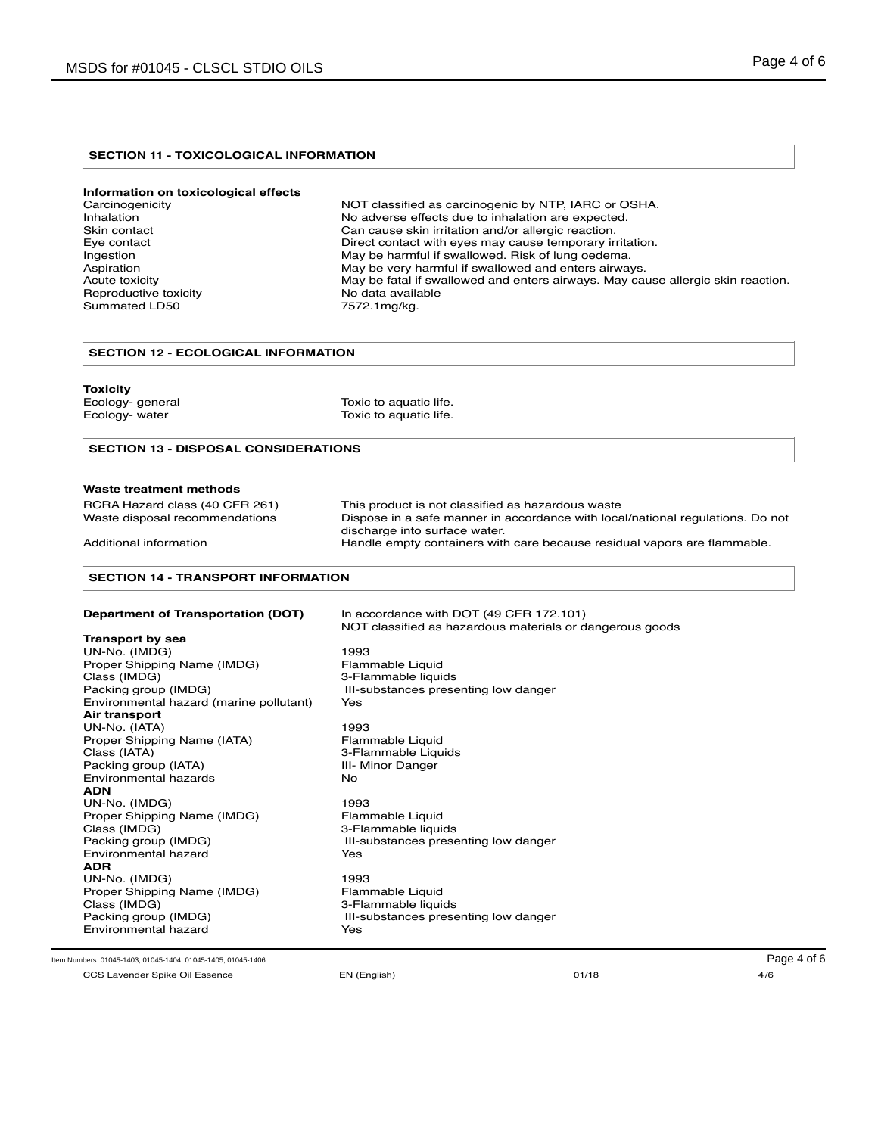#### **SECTION 11 - TOXICOLOGICAL INFORMATION**

## **Information on toxicological effects**

Reproductive toxicity<br>
Summated LD50 extending the matrix of the T572.1 mg/kg. Summated LD50

NOT classified as carcinogenic by NTP, IARC or OSHA. Inhalation **Inhalation** No adverse effects due to inhalation are expected.<br>Skin contact **Sking and Accord Can cause skin irritation** and/or allergic reaction. Skin contact Can cause skin irritation and/or allergic reaction.<br>
Eye contact Contact Contact with eyes may cause temporary irritation and/or allergic reaction. Direct contact with eyes may cause temporary irritation. Ingestion **Ingestion** May be harmful if swallowed. Risk of lung oedema.<br>Aspiration May be very harmful if swallowed and enters airway Aspiration May be very harmful if swallowed and enters airways.<br>Acute toxicity May be fatal if swallowed and enters airways. May ca May be fatal if swallowed and enters airways. May cause allergic skin reaction.

#### **SECTION 12 - ECOLOGICAL INFORMATION**

# **Toxicity**

Ecology- general Toxic to aquatic life.<br>
Ecology- water Toxic to aquatic life. Toxic to aquatic life.

#### **SECTION 13 - DISPOSAL CONSIDERATIONS**

#### **Waste treatment methods**

| RCRA Hazard class (40 CFR 261) | This product is not classified as hazardous waste                              |
|--------------------------------|--------------------------------------------------------------------------------|
| Waste disposal recommendations | Dispose in a safe manner in accordance with local/national regulations. Do not |
|                                | discharge into surface water.                                                  |
| Additional information         | Handle empty containers with care because residual vapors are flammable.       |

#### **SECTION 14 - TRANSPORT INFORMATION**

## **Department of Transportation (DOT)** In accordance with DOT (49 CFR 172.101)

**Transport by sea**  UN-No. (IMDG) 1993 Proper Shipping Name (IMDG) Flammable Liquid<br>Class (IMDG) 6 - 3-Flammable liquid Class (IMDG) 3-Flammable liquids<br>Packing group (IMDG) 3-Flammable liquids Environmental hazard (marine pollutant) **Air transport**  UN-No. (IATA) 1993 Proper Shipping Name (IATA)<br>Class (IATA) Packing group (IATA) III- Minor Danger<br>Environmental hazards Santi Communisty No Environmental hazards **ADN** UN-No. (IMDG) 1993 Proper Shipping Name (IMDG) Flammable Liquid<br>Class (IMDG) 6 S-Flammable liquid Class (IMDG) 3-Flammable liquids<br>Packing group (IMDG) 3-Flammable liquids Environmental hazard Yes **ADR** UN-No. (IMDG) 1993<br>Proper Shipping Name (IMDG) 1993 Flammable Liquid Proper Shipping Name (IMDG)<br>Class (IMDG) Packing group (IMDG) The Substances presenting low danger<br>Environmental hazard The Substances presenting low danger Environmental hazard

NOT classified as hazardous materials or dangerous goods III-substances presenting low danger<br>Yes 3-Flammable Liquids III-substances presenting low danger 3-Flammable liquids

Item Numbers: 01045-1403, 01045-1404, 01045-1405, 01045-1406 **Page 4 of 6** 

CCS Lavender Spike Oil Essence EN (English) 01/18 4/6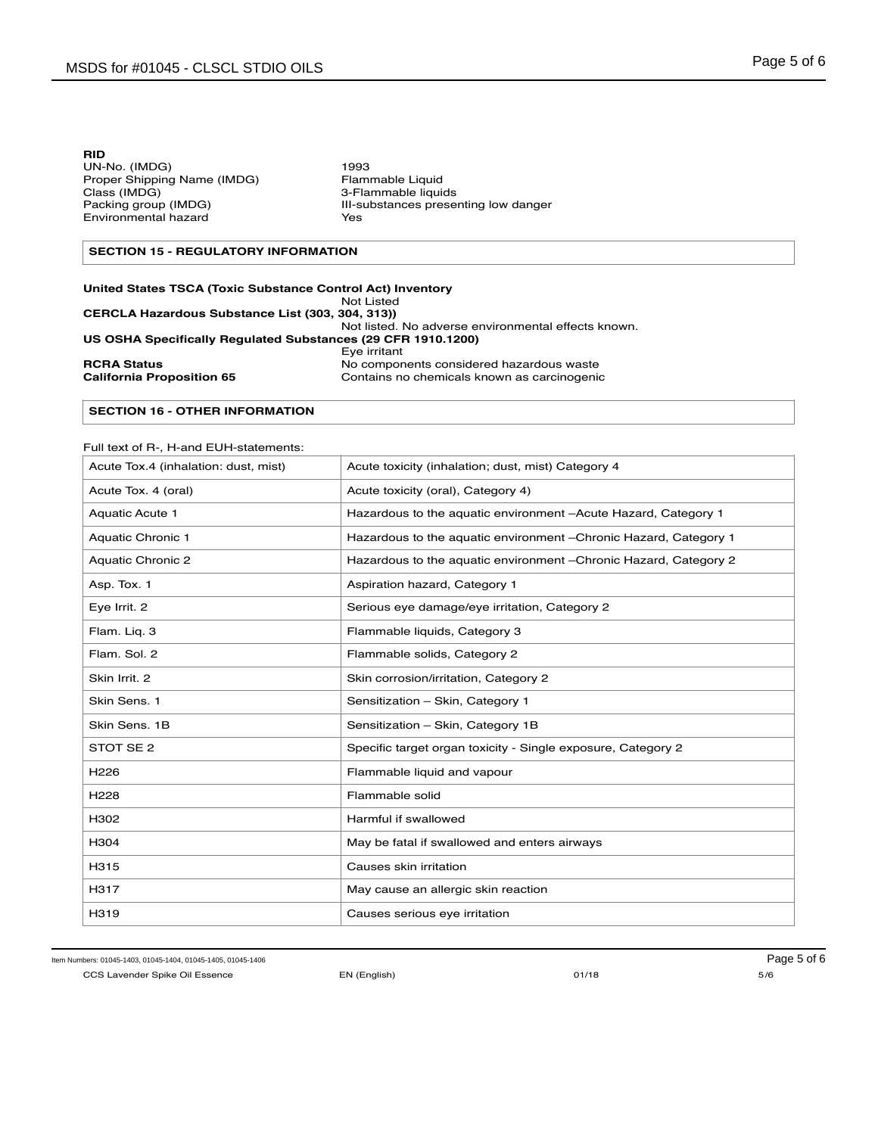Packing group (IMDG) **III-substances presenting low danger** 

#### **SECTION 15 - REGULATORY INFORMATION**

| <b>United States TSCA (Toxic Substance Control Act) Inventory</b> |                                                     |
|-------------------------------------------------------------------|-----------------------------------------------------|
|                                                                   | Not Listed                                          |
| <b>CERCLA Hazardous Substance List (303, 304, 313))</b>           |                                                     |
|                                                                   | Not listed. No adverse environmental effects known. |
| US OSHA Specifically Regulated Substances (29 CFR 1910.1200)      |                                                     |
|                                                                   | Eye irritant                                        |
| <b>RCRA Status</b>                                                | No components considered hazardous waste            |
| <b>California Proposition 65</b>                                  | Contains no chemicals known as carcinogenic         |

#### **SECTION 16 - OTHER INFORMATION**

#### Full text of R-, H-and EUH-statements:

| Acute Tox.4 (inhalation: dust, mist) | Acute toxicity (inhalation; dust, mist) Category 4                |
|--------------------------------------|-------------------------------------------------------------------|
| Acute Tox. 4 (oral)                  | Acute toxicity (oral), Category 4)                                |
| <b>Aquatic Acute 1</b>               | Hazardous to the aquatic environment -Acute Hazard, Category 1    |
| <b>Aquatic Chronic 1</b>             | Hazardous to the aquatic environment - Chronic Hazard, Category 1 |
| <b>Aquatic Chronic 2</b>             | Hazardous to the aquatic environment - Chronic Hazard, Category 2 |
| Asp. Tox. 1                          | Aspiration hazard, Category 1                                     |
| Eye Irrit. 2                         | Serious eye damage/eye irritation, Category 2                     |
| Flam. Liq. 3                         | Flammable liquids, Category 3                                     |
| Flam. Sol. 2                         | Flammable solids, Category 2                                      |
| Skin Irrit. 2                        | Skin corrosion/irritation, Category 2                             |
| Skin Sens. 1                         | Sensitization - Skin, Category 1                                  |
| Skin Sens. 1B                        | Sensitization - Skin, Category 1B                                 |
| STOT SE <sub>2</sub>                 | Specific target organ toxicity - Single exposure, Category 2      |
| H <sub>226</sub>                     | Flammable liquid and vapour                                       |
| H <sub>228</sub>                     | Flammable solid                                                   |
| H302                                 | Harmful if swallowed                                              |
| H304                                 | May be fatal if swallowed and enters airways                      |
| H315                                 | Causes skin irritation                                            |
| H317                                 | May cause an allergic skin reaction                               |
| H319                                 | Causes serious eye irritation                                     |

Item Numbers: 01045-1403, 01045-1404, 01045-1405, 01045-1406 Page 5 of 6

CCS Lavender Spike Oil Essence **EN (English)** 01/18 01/18 5/6